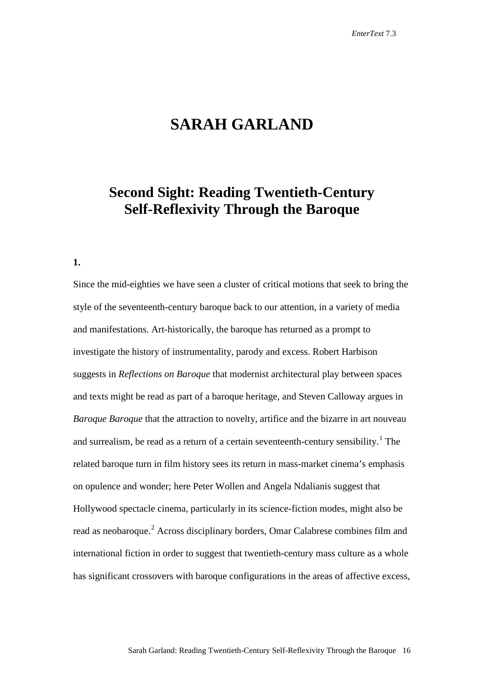# **SARAH GARLAND**

## **Second Sight: Reading Twentieth-Century Self-Reflexivity Through the Baroque**

### **1.**

Since the mid-eighties we have seen a cluster of critical motions that seek to bring the style of the seventeenth-century baroque back to our attention, in a variety of media and manifestations. Art-historically, the baroque has returned as a prompt to investigate the history of instrumentality, parody and excess. Robert Harbison suggests in *Reflections on Baroque* that modernist architectural play between spaces and texts might be read as part of a baroque heritage, and Steven Calloway argues in *Baroque Baroque* that the attraction to novelty, artifice and the bizarre in art nouveau and surrealism, be read as a return of a certain seventeenth-century sensibility.<sup>[1](#page-24-0)</sup> The related baroque turn in film history sees its return in mass-market cinema's emphasis on opulence and wonder; here Peter Wollen and Angela Ndalianis suggest that Hollywood spectacle cinema, particularly in its science-fiction modes, might also be read as neobaroque.<sup>[2](#page-24-1)</sup> Across disciplinary borders, Omar Calabrese combines film and international fiction in order to suggest that twentieth-century mass culture as a whole has significant crossovers with baroque configurations in the areas of affective excess,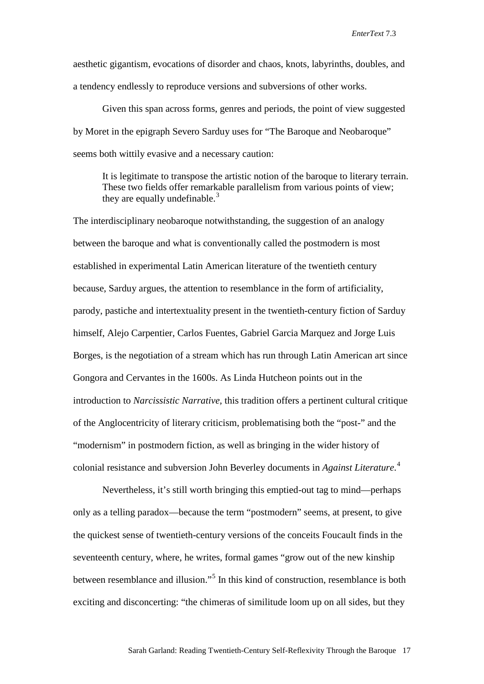aesthetic gigantism, evocations of disorder and chaos, knots, labyrinths, doubles, and a tendency endlessly to reproduce versions and subversions of other works.

Given this span across forms, genres and periods, the point of view suggested by Moret in the epigraph Severo Sarduy uses for "The Baroque and Neobaroque" seems both wittily evasive and a necessary caution:

It is legitimate to transpose the artistic notion of the baroque to literary terrain. These two fields offer remarkable parallelism from various points of view; they are equally undefinable.<sup>[3](#page-25-0)</sup>

The interdisciplinary neobaroque notwithstanding, the suggestion of an analogy between the baroque and what is conventionally called the postmodern is most established in experimental Latin American literature of the twentieth century because, Sarduy argues, the attention to resemblance in the form of artificiality, parody, pastiche and intertextuality present in the twentieth-century fiction of Sarduy himself, Alejo Carpentier, Carlos Fuentes, Gabriel Garcia Marquez and Jorge Luis Borges, is the negotiation of a stream which has run through Latin American art since Gongora and Cervantes in the 1600s. As Linda Hutcheon points out in the introduction to *Narcissistic Narrative,* this tradition offers a pertinent cultural critique of the Anglocentricity of literary criticism, problematising both the "post-" and the "modernism" in postmodern fiction, as well as bringing in the wider history of colonial resistance and subversion John Beverley documents in *Against Literature*. [4](#page-25-1)

Nevertheless, it's still worth bringing this emptied-out tag to mind—perhaps only as a telling paradox—because the term "postmodern" seems, at present, to give the quickest sense of twentieth-century versions of the conceits Foucault finds in the seventeenth century, where, he writes, formal games "grow out of the new kinship between resemblance and illusion."[5](#page-25-2) In this kind of construction, resemblance is both exciting and disconcerting: "the chimeras of similitude loom up on all sides, but they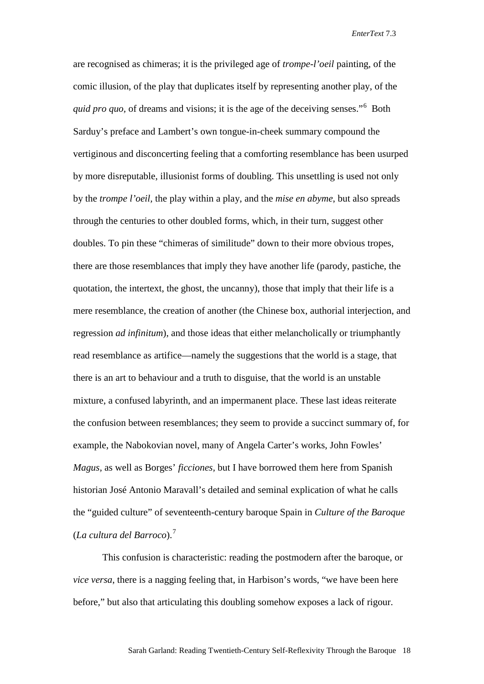are recognised as chimeras; it is the privileged age of *trompe-l'oeil* painting, of the comic illusion, of the play that duplicates itself by representing another play, of the *quid pro quo*, of dreams and visions; it is the age of the deceiving senses."<sup>[6](#page-26-0)</sup> Both Sarduy's preface and Lambert's own tongue-in-cheek summary compound the vertiginous and disconcerting feeling that a comforting resemblance has been usurped by more disreputable, illusionist forms of doubling. This unsettling is used not only by the *trompe l'oeil,* the play within a play, and the *mise en abyme*, but also spreads through the centuries to other doubled forms, which, in their turn, suggest other doubles. To pin these "chimeras of similitude" down to their more obvious tropes, there are those resemblances that imply they have another life (parody, pastiche, the quotation, the intertext, the ghost, the uncanny), those that imply that their life is a mere resemblance, the creation of another (the Chinese box, authorial interjection, and regression *ad infinitum*), and those ideas that either melancholically or triumphantly read resemblance as artifice—namely the suggestions that the world is a stage, that there is an art to behaviour and a truth to disguise, that the world is an unstable mixture, a confused labyrinth, and an impermanent place. These last ideas reiterate the confusion between resemblances; they seem to provide a succinct summary of, for example, the Nabokovian novel, many of Angela Carter's works, John Fowles' *Magus,* as well as Borges' *ficciones,* but I have borrowed them here from Spanish historian José Antonio Maravall's detailed and seminal explication of what he calls the "guided culture" of seventeenth-century baroque Spain in *Culture of the Baroque*  (*La cultura del Barroco*). [7](#page-26-1)

This confusion is characteristic: reading the postmodern after the baroque, or *vice versa*, there is a nagging feeling that, in Harbison's words, "we have been here before," but also that articulating this doubling somehow exposes a lack of rigour.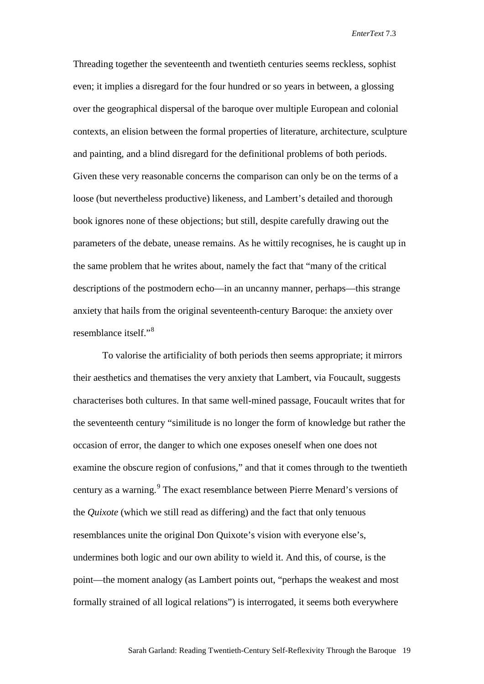Threading together the seventeenth and twentieth centuries seems reckless, sophist even; it implies a disregard for the four hundred or so years in between, a glossing over the geographical dispersal of the baroque over multiple European and colonial contexts, an elision between the formal properties of literature, architecture, sculpture and painting, and a blind disregard for the definitional problems of both periods. Given these very reasonable concerns the comparison can only be on the terms of a loose (but nevertheless productive) likeness, and Lambert's detailed and thorough book ignores none of these objections; but still, despite carefully drawing out the parameters of the debate, unease remains. As he wittily recognises, he is caught up in the same problem that he writes about, namely the fact that "many of the critical descriptions of the postmodern echo—in an uncanny manner, perhaps—this strange anxiety that hails from the original seventeenth-century Baroque: the anxiety over resemblance itself."[8](#page-26-2)

To valorise the artificiality of both periods then seems appropriate; it mirrors their aesthetics and thematises the very anxiety that Lambert, via Foucault, suggests characterises both cultures. In that same well-mined passage, Foucault writes that for the seventeenth century "similitude is no longer the form of knowledge but rather the occasion of error, the danger to which one exposes oneself when one does not examine the obscure region of confusions," and that it comes through to the twentieth century as a warning.<sup>[9](#page-26-3)</sup> The exact resemblance between Pierre Menard's versions of the *Quixote* (which we still read as differing) and the fact that only tenuous resemblances unite the original Don Quixote's vision with everyone else's, undermines both logic and our own ability to wield it. And this, of course, is the point—the moment analogy (as Lambert points out, "perhaps the weakest and most formally strained of all logical relations") is interrogated, it seems both everywhere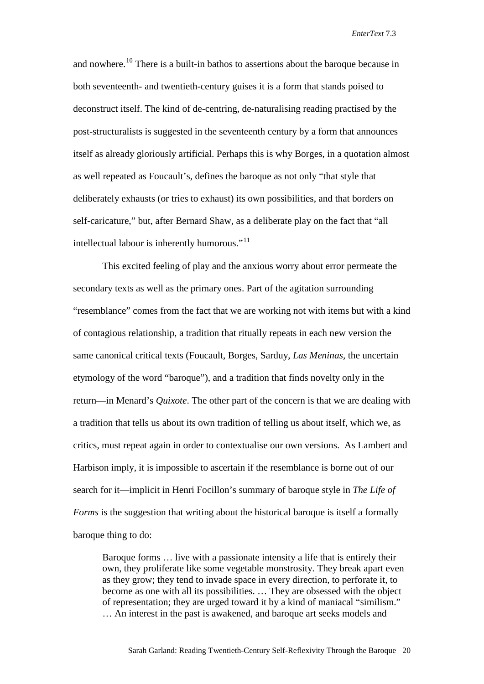and nowhere.<sup>[10](#page-26-4)</sup> There is a built-in bathos to assertions about the baroque because in both seventeenth- and twentieth-century guises it is a form that stands poised to deconstruct itself. The kind of de-centring, de-naturalising reading practised by the post-structuralists is suggested in the seventeenth century by a form that announces itself as already gloriously artificial. Perhaps this is why Borges, in a quotation almost as well repeated as Foucault's, defines the baroque as not only "that style that deliberately exhausts (or tries to exhaust) its own possibilities, and that borders on self-caricature," but, after Bernard Shaw, as a deliberate play on the fact that "all intellectual labour is inherently humorous."<sup>[11](#page-26-5)</sup>

This excited feeling of play and the anxious worry about error permeate the secondary texts as well as the primary ones. Part of the agitation surrounding "resemblance" comes from the fact that we are working not with items but with a kind of contagious relationship, a tradition that ritually repeats in each new version the same canonical critical texts (Foucault, Borges, Sarduy, *Las Meninas,* the uncertain etymology of the word "baroque"), and a tradition that finds novelty only in the return—in Menard's *Quixote*. The other part of the concern is that we are dealing with a tradition that tells us about its own tradition of telling us about itself, which we, as critics, must repeat again in order to contextualise our own versions. As Lambert and Harbison imply, it is impossible to ascertain if the resemblance is borne out of our search for it—implicit in Henri Focillon's summary of baroque style in *The Life of Forms* is the suggestion that writing about the historical baroque is itself a formally baroque thing to do:

Baroque forms … live with a passionate intensity a life that is entirely their own, they proliferate like some vegetable monstrosity. They break apart even as they grow; they tend to invade space in every direction, to perforate it, to become as one with all its possibilities. … They are obsessed with the object of representation; they are urged toward it by a kind of maniacal "similism." … An interest in the past is awakened, and baroque art seeks models and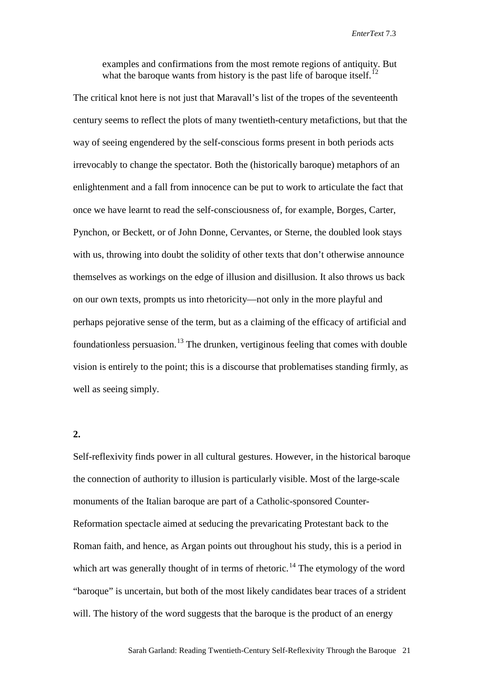examples and confirmations from the most remote regions of antiquity. But what the baroque wants from history is the past life of baroque itself.<sup>[12](#page-26-6)</sup>

The critical knot here is not just that Maravall's list of the tropes of the seventeenth century seems to reflect the plots of many twentieth-century metafictions, but that the way of seeing engendered by the self-conscious forms present in both periods acts irrevocably to change the spectator. Both the (historically baroque) metaphors of an enlightenment and a fall from innocence can be put to work to articulate the fact that once we have learnt to read the self-consciousness of, for example, Borges, Carter, Pynchon, or Beckett, or of John Donne, Cervantes, or Sterne, the doubled look stays with us, throwing into doubt the solidity of other texts that don't otherwise announce themselves as workings on the edge of illusion and disillusion. It also throws us back on our own texts, prompts us into rhetoricity—not only in the more playful and perhaps pejorative sense of the term, but as a claiming of the efficacy of artificial and foundationless persuasion.<sup>[13](#page-26-7)</sup> The drunken, vertiginous feeling that comes with double vision is entirely to the point; this is a discourse that problematises standing firmly, as well as seeing simply.

## **2.**

Self-reflexivity finds power in all cultural gestures. However, in the historical baroque the connection of authority to illusion is particularly visible. Most of the large-scale monuments of the Italian baroque are part of a Catholic-sponsored Counter-Reformation spectacle aimed at seducing the prevaricating Protestant back to the Roman faith, and hence, as Argan points out throughout his study, this is a period in which art was generally thought of in terms of rhetoric.<sup>[14](#page-26-8)</sup> The etymology of the word "baroque" is uncertain, but both of the most likely candidates bear traces of a strident will. The history of the word suggests that the baroque is the product of an energy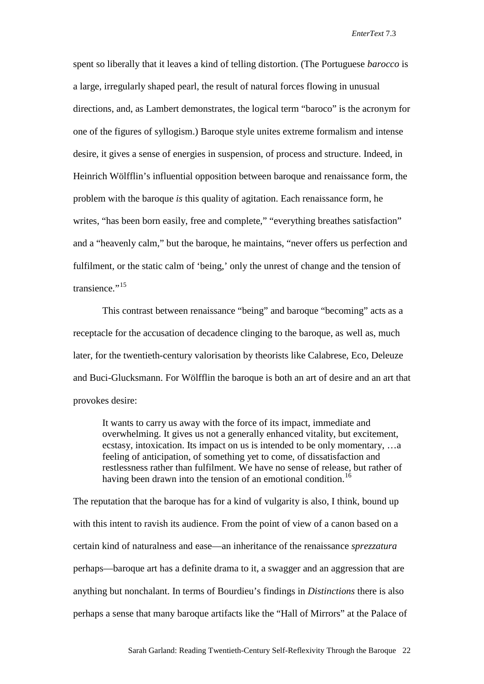spent so liberally that it leaves a kind of telling distortion. (The Portuguese *barocco* is a large, irregularly shaped pearl, the result of natural forces flowing in unusual directions, and, as Lambert demonstrates, the logical term "baroco" is the acronym for one of the figures of syllogism.) Baroque style unites extreme formalism and intense desire, it gives a sense of energies in suspension, of process and structure. Indeed, in Heinrich Wölfflin's influential opposition between baroque and renaissance form, the problem with the baroque *is* this quality of agitation. Each renaissance form, he writes, "has been born easily, free and complete," "everything breathes satisfaction" and a "heavenly calm," but the baroque, he maintains, "never offers us perfection and fulfilment, or the static calm of 'being,' only the unrest of change and the tension of transience."<sup>[15](#page-26-9)</sup>

This contrast between renaissance "being" and baroque "becoming" acts as a receptacle for the accusation of decadence clinging to the baroque, as well as, much later, for the twentieth-century valorisation by theorists like Calabrese, Eco, Deleuze and Buci-Glucksmann. For Wölfflin the baroque is both an art of desire and an art that provokes desire:

It wants to carry us away with the force of its impact, immediate and overwhelming. It gives us not a generally enhanced vitality, but excitement, ecstasy, intoxication. Its impact on us is intended to be only momentary, …a feeling of anticipation, of something yet to come, of dissatisfaction and restlessness rather than fulfilment. We have no sense of release, but rather of having been drawn into the tension of an emotional condition.<sup>[16](#page-26-10)</sup>

The reputation that the baroque has for a kind of vulgarity is also, I think, bound up with this intent to ravish its audience. From the point of view of a canon based on a certain kind of naturalness and ease—an inheritance of the renaissance *sprezzatura* perhaps—baroque art has a definite drama to it, a swagger and an aggression that are anything but nonchalant. In terms of Bourdieu's findings in *Distinctions* there is also perhaps a sense that many baroque artifacts like the "Hall of Mirrors" at the Palace of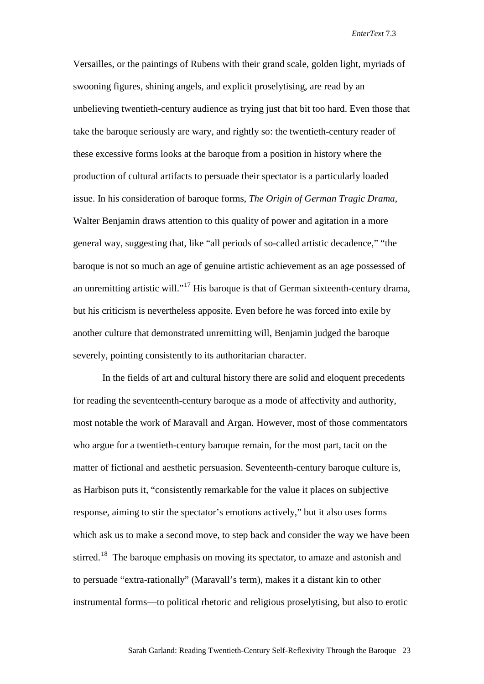Versailles, or the paintings of Rubens with their grand scale, golden light, myriads of swooning figures, shining angels, and explicit proselytising, are read by an unbelieving twentieth-century audience as trying just that bit too hard. Even those that take the baroque seriously are wary, and rightly so: the twentieth-century reader of these excessive forms looks at the baroque from a position in history where the production of cultural artifacts to persuade their spectator is a particularly loaded issue. In his consideration of baroque forms, *The Origin of German Tragic Drama*, Walter Benjamin draws attention to this quality of power and agitation in a more general way, suggesting that, like "all periods of so-called artistic decadence," "the baroque is not so much an age of genuine artistic achievement as an age possessed of an unremitting artistic will."<sup>[17](#page-26-11)</sup> His baroque is that of German sixteenth-century drama, but his criticism is nevertheless apposite. Even before he was forced into exile by another culture that demonstrated unremitting will, Benjamin judged the baroque severely, pointing consistently to its authoritarian character.

In the fields of art and cultural history there are solid and eloquent precedents for reading the seventeenth-century baroque as a mode of affectivity and authority, most notable the work of Maravall and Argan. However, most of those commentators who argue for a twentieth-century baroque remain, for the most part, tacit on the matter of fictional and aesthetic persuasion. Seventeenth-century baroque culture is, as Harbison puts it, "consistently remarkable for the value it places on subjective response, aiming to stir the spectator's emotions actively," but it also uses forms which ask us to make a second move, to step back and consider the way we have been stirred.<sup>[18](#page-26-12)</sup> The baroque emphasis on moving its spectator, to amaze and astonish and to persuade "extra-rationally" (Maravall's term), makes it a distant kin to other instrumental forms—to political rhetoric and religious proselytising, but also to erotic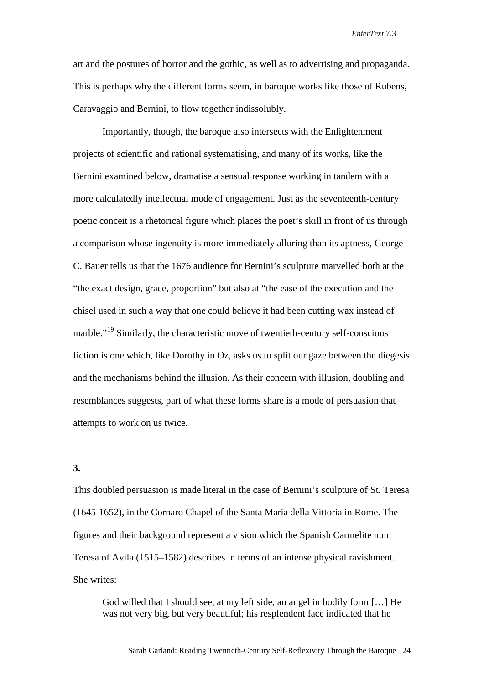art and the postures of horror and the gothic, as well as to advertising and propaganda. This is perhaps why the different forms seem, in baroque works like those of Rubens, Caravaggio and Bernini, to flow together indissolubly.

Importantly, though, the baroque also intersects with the Enlightenment projects of scientific and rational systematising, and many of its works, like the Bernini examined below, dramatise a sensual response working in tandem with a more calculatedly intellectual mode of engagement. Just as the seventeenth-century poetic conceit is a rhetorical figure which places the poet's skill in front of us through a comparison whose ingenuity is more immediately alluring than its aptness, George C. Bauer tells us that the 1676 audience for Bernini's sculpture marvelled both at the "the exact design, grace, proportion" but also at "the ease of the execution and the chisel used in such a way that one could believe it had been cutting wax instead of marble."<sup>[19](#page-26-13)</sup> Similarly, the characteristic move of twentieth-century self-conscious fiction is one which, like Dorothy in Oz, asks us to split our gaze between the diegesis and the mechanisms behind the illusion. As their concern with illusion, doubling and resemblances suggests, part of what these forms share is a mode of persuasion that attempts to work on us twice.

#### **3.**

This doubled persuasion is made literal in the case of Bernini's sculpture of St. Teresa (1645-1652), in the Cornaro Chapel of the Santa Maria della Vittoria in Rome. The figures and their background represent a vision which the Spanish Carmelite nun Teresa of Avila (1515–1582) describes in terms of an intense physical ravishment. She writes:

God willed that I should see, at my left side, an angel in bodily form […] He was not very big, but very beautiful; his resplendent face indicated that he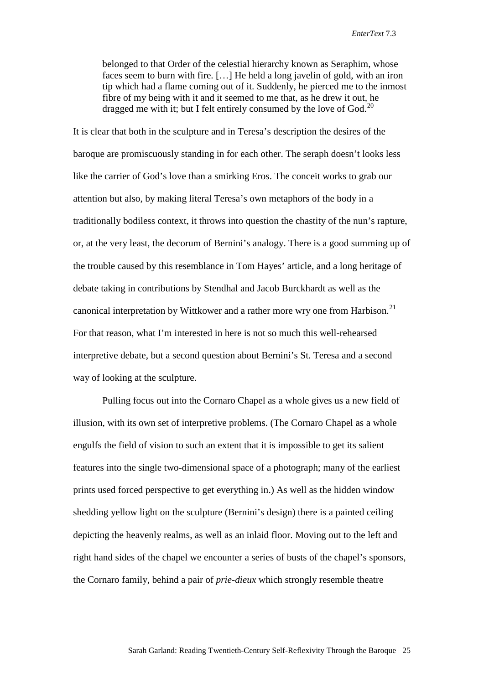belonged to that Order of the celestial hierarchy known as Seraphim, whose faces seem to burn with fire. […] He held a long javelin of gold, with an iron tip which had a flame coming out of it. Suddenly, he pierced me to the inmost fibre of my being with it and it seemed to me that, as he drew it out, he dragged me with it; but I felt entirely consumed by the love of God.<sup>[20](#page-26-14)</sup>

It is clear that both in the sculpture and in Teresa's description the desires of the baroque are promiscuously standing in for each other. The seraph doesn't looks less like the carrier of God's love than a smirking Eros. The conceit works to grab our attention but also, by making literal Teresa's own metaphors of the body in a traditionally bodiless context, it throws into question the chastity of the nun's rapture, or, at the very least, the decorum of Bernini's analogy. There is a good summing up of the trouble caused by this resemblance in Tom Hayes' article, and a long heritage of debate taking in contributions by Stendhal and Jacob Burckhardt as well as the canonical interpretation by Wittkower and a rather more wry one from Harbison.<sup>[21](#page-26-15)</sup> For that reason, what I'm interested in here is not so much this well-rehearsed interpretive debate, but a second question about Bernini's St. Teresa and a second way of looking at the sculpture.

Pulling focus out into the Cornaro Chapel as a whole gives us a new field of illusion, with its own set of interpretive problems. (The Cornaro Chapel as a whole engulfs the field of vision to such an extent that it is impossible to get its salient features into the single two-dimensional space of a photograph; many of the earliest prints used forced perspective to get everything in.) As well as the hidden window shedding yellow light on the sculpture (Bernini's design) there is a painted ceiling depicting the heavenly realms, as well as an inlaid floor. Moving out to the left and right hand sides of the chapel we encounter a series of busts of the chapel's sponsors, the Cornaro family, behind a pair of *prie-dieux* which strongly resemble theatre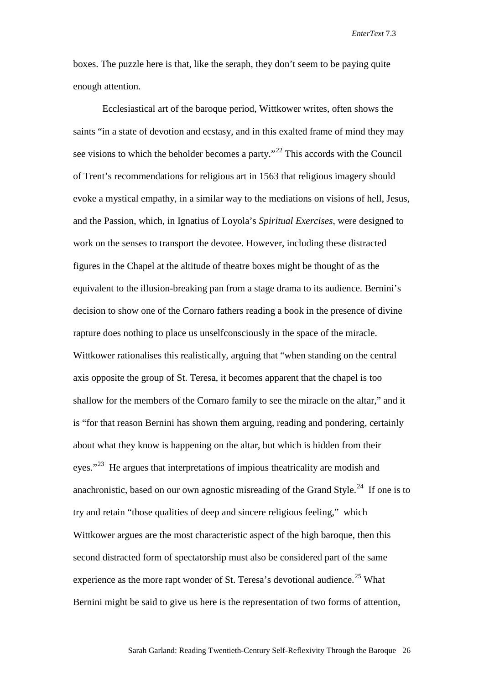boxes. The puzzle here is that, like the seraph, they don't seem to be paying quite enough attention.

Ecclesiastical art of the baroque period, Wittkower writes, often shows the saints "in a state of devotion and ecstasy, and in this exalted frame of mind they may see visions to which the beholder becomes a party."<sup>[22](#page-26-16)</sup> This accords with the Council of Trent's recommendations for religious art in 1563 that religious imagery should evoke a mystical empathy, in a similar way to the mediations on visions of hell, Jesus, and the Passion, which, in Ignatius of Loyola's *Spiritual Exercises*, were designed to work on the senses to transport the devotee. However, including these distracted figures in the Chapel at the altitude of theatre boxes might be thought of as the equivalent to the illusion-breaking pan from a stage drama to its audience. Bernini's decision to show one of the Cornaro fathers reading a book in the presence of divine rapture does nothing to place us unselfconsciously in the space of the miracle. Wittkower rationalises this realistically, arguing that "when standing on the central axis opposite the group of St. Teresa, it becomes apparent that the chapel is too shallow for the members of the Cornaro family to see the miracle on the altar," and it is "for that reason Bernini has shown them arguing, reading and pondering, certainly about what they know is happening on the altar, but which is hidden from their eyes."<sup>[23](#page-26-17)</sup> He argues that interpretations of impious theatricality are modish and anachronistic, based on our own agnostic misreading of the Grand Style.<sup>[24](#page-26-18)</sup> If one is to try and retain "those qualities of deep and sincere religious feeling," which Wittkower argues are the most characteristic aspect of the high baroque, then this second distracted form of spectatorship must also be considered part of the same experience as the more rapt wonder of St. Teresa's devotional audience.<sup>[25](#page-26-19)</sup> What Bernini might be said to give us here is the representation of two forms of attention,

Sarah Garland: Reading Twentieth-Century Self-Reflexivity Through the Baroque 26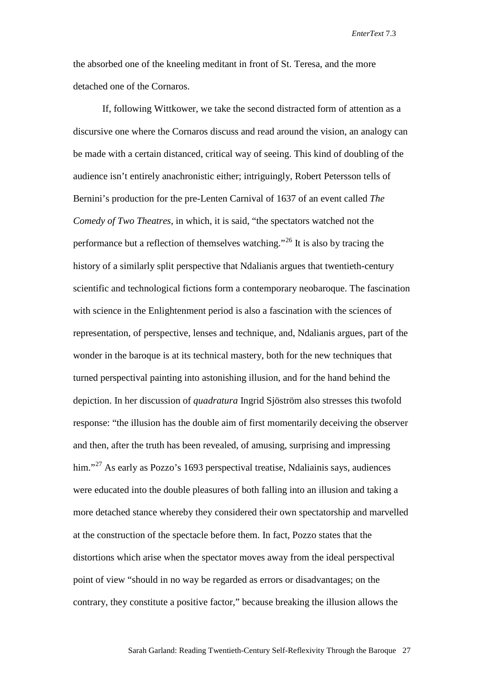the absorbed one of the kneeling meditant in front of St. Teresa, and the more detached one of the Cornaros.

If, following Wittkower, we take the second distracted form of attention as a discursive one where the Cornaros discuss and read around the vision, an analogy can be made with a certain distanced, critical way of seeing. This kind of doubling of the audience isn't entirely anachronistic either; intriguingly, Robert Petersson tells of Bernini's production for the pre-Lenten Carnival of 1637 of an event called *The Comedy of Two Theatres*, in which, it is said, "the spectators watched not the performance but a reflection of themselves watching."<sup>[26](#page-26-20)</sup> It is also by tracing the history of a similarly split perspective that Ndalianis argues that twentieth-century scientific and technological fictions form a contemporary neobaroque. The fascination with science in the Enlightenment period is also a fascination with the sciences of representation, of perspective, lenses and technique, and, Ndalianis argues, part of the wonder in the baroque is at its technical mastery, both for the new techniques that turned perspectival painting into astonishing illusion, and for the hand behind the depiction. In her discussion of *quadratura* Ingrid Sjöström also stresses this twofold response: "the illusion has the double aim of first momentarily deceiving the observer and then, after the truth has been revealed, of amusing, surprising and impressing him."<sup>[27](#page-26-1)</sup> As early as Pozzo's 1693 perspectival treatise, Ndaliainis says, audiences were educated into the double pleasures of both falling into an illusion and taking a more detached stance whereby they considered their own spectatorship and marvelled at the construction of the spectacle before them. In fact, Pozzo states that the distortions which arise when the spectator moves away from the ideal perspectival point of view "should in no way be regarded as errors or disadvantages; on the contrary, they constitute a positive factor," because breaking the illusion allows the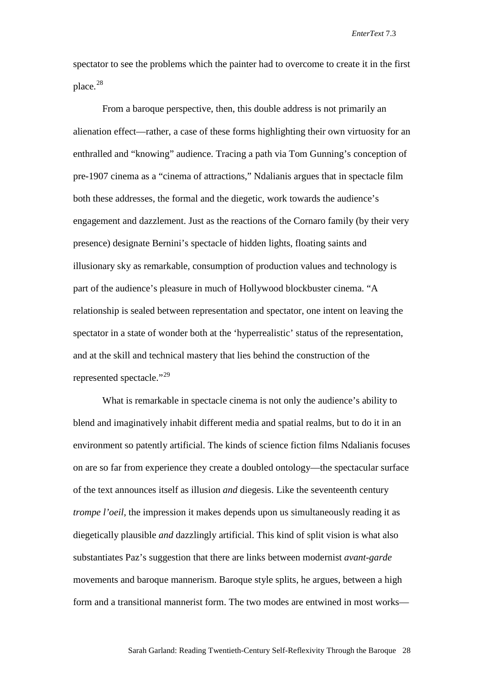spectator to see the problems which the painter had to overcome to create it in the first place.[28](#page-26-21)

From a baroque perspective, then, this double address is not primarily an alienation effect—rather, a case of these forms highlighting their own virtuosity for an enthralled and "knowing" audience. Tracing a path via Tom Gunning's conception of pre-1907 cinema as a "cinema of attractions," Ndalianis argues that in spectacle film both these addresses, the formal and the diegetic, work towards the audience's engagement and dazzlement. Just as the reactions of the Cornaro family (by their very presence) designate Bernini's spectacle of hidden lights, floating saints and illusionary sky as remarkable, consumption of production values and technology is part of the audience's pleasure in much of Hollywood blockbuster cinema. "A relationship is sealed between representation and spectator, one intent on leaving the spectator in a state of wonder both at the 'hyperrealistic' status of the representation, and at the skill and technical mastery that lies behind the construction of the represented spectacle."<sup>[29](#page-26-22)</sup>

What is remarkable in spectacle cinema is not only the audience's ability to blend and imaginatively inhabit different media and spatial realms, but to do it in an environment so patently artificial. The kinds of science fiction films Ndalianis focuses on are so far from experience they create a doubled ontology—the spectacular surface of the text announces itself as illusion *and* diegesis. Like the seventeenth century *trompe l'oeil*, the impression it makes depends upon us simultaneously reading it as diegetically plausible *and* dazzlingly artificial. This kind of split vision is what also substantiates Paz's suggestion that there are links between modernist *avant-garde* movements and baroque mannerism. Baroque style splits, he argues, between a high form and a transitional mannerist form. The two modes are entwined in most works—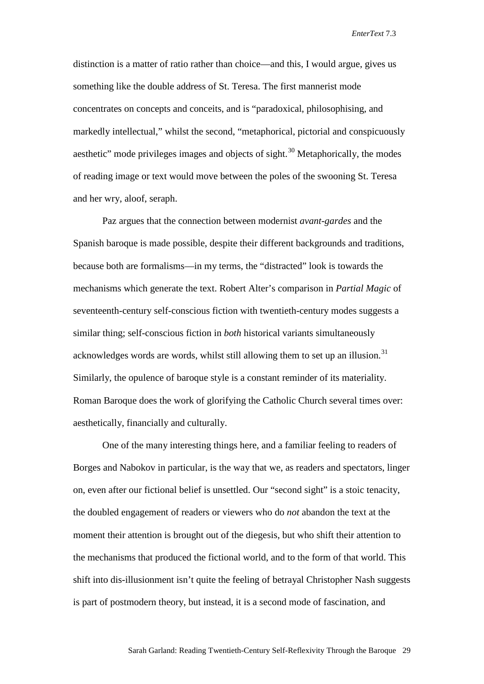distinction is a matter of ratio rather than choice—and this, I would argue, gives us something like the double address of St. Teresa. The first mannerist mode concentrates on concepts and conceits, and is "paradoxical, philosophising, and markedly intellectual," whilst the second, "metaphorical, pictorial and conspicuously aesthetic" mode privileges images and objects of sight.<sup>[30](#page-26-23)</sup> Metaphorically, the modes of reading image or text would move between the poles of the swooning St. Teresa and her wry, aloof, seraph.

Paz argues that the connection between modernist *avant-gardes* and the Spanish baroque is made possible, despite their different backgrounds and traditions, because both are formalisms—in my terms, the "distracted" look is towards the mechanisms which generate the text. Robert Alter's comparison in *Partial Magic* of seventeenth-century self-conscious fiction with twentieth-century modes suggests a similar thing; self-conscious fiction in *both* historical variants simultaneously acknowledges words are words, whilst still allowing them to set up an illusion.<sup>[31](#page-26-24)</sup> Similarly, the opulence of baroque style is a constant reminder of its materiality. Roman Baroque does the work of glorifying the Catholic Church several times over: aesthetically, financially and culturally.

One of the many interesting things here, and a familiar feeling to readers of Borges and Nabokov in particular, is the way that we, as readers and spectators, linger on, even after our fictional belief is unsettled. Our "second sight" is a stoic tenacity, the doubled engagement of readers or viewers who do *not* abandon the text at the moment their attention is brought out of the diegesis, but who shift their attention to the mechanisms that produced the fictional world, and to the form of that world. This shift into dis-illusionment isn't quite the feeling of betrayal Christopher Nash suggests is part of postmodern theory, but instead, it is a second mode of fascination, and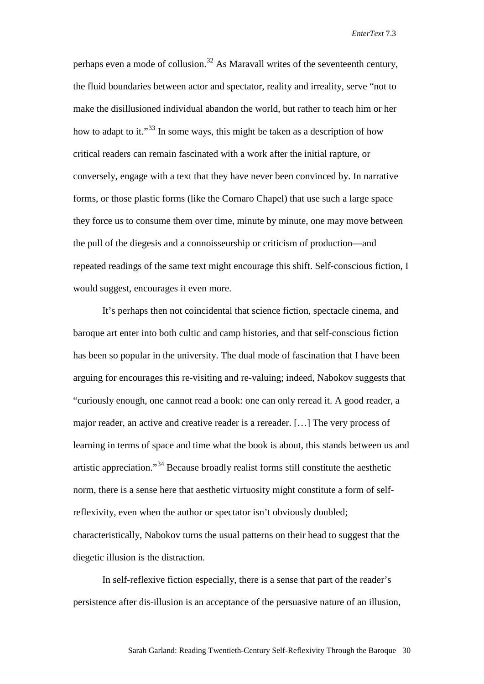perhaps even a mode of collusion.<sup>[32](#page-26-25)</sup> As Maravall writes of the seventeenth century, the fluid boundaries between actor and spectator, reality and irreality, serve "not to make the disillusioned individual abandon the world, but rather to teach him or her how to adapt to it."<sup>[33](#page-26-26)</sup> In some ways, this might be taken as a description of how critical readers can remain fascinated with a work after the initial rapture, or conversely, engage with a text that they have never been convinced by. In narrative forms, or those plastic forms (like the Cornaro Chapel) that use such a large space they force us to consume them over time, minute by minute, one may move between the pull of the diegesis and a connoisseurship or criticism of production—and repeated readings of the same text might encourage this shift. Self-conscious fiction, I would suggest, encourages it even more.

It's perhaps then not coincidental that science fiction, spectacle cinema, and baroque art enter into both cultic and camp histories, and that self-conscious fiction has been so popular in the university. The dual mode of fascination that I have been arguing for encourages this re-visiting and re-valuing; indeed, Nabokov suggests that "curiously enough, one cannot read a book: one can only reread it. A good reader, a major reader, an active and creative reader is a rereader. […] The very process of learning in terms of space and time what the book is about, this stands between us and artistic appreciation."[34](#page-26-27) Because broadly realist forms still constitute the aesthetic norm, there is a sense here that aesthetic virtuosity might constitute a form of selfreflexivity, even when the author or spectator isn't obviously doubled; characteristically, Nabokov turns the usual patterns on their head to suggest that the diegetic illusion is the distraction.

In self-reflexive fiction especially, there is a sense that part of the reader's persistence after dis-illusion is an acceptance of the persuasive nature of an illusion,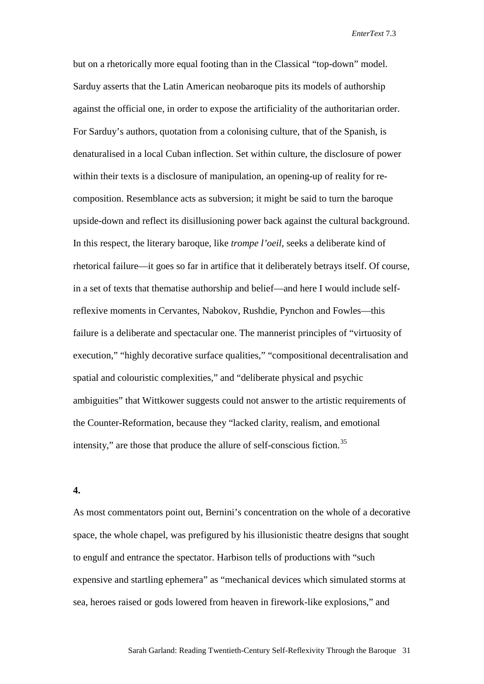but on a rhetorically more equal footing than in the Classical "top-down" model. Sarduy asserts that the Latin American neobaroque pits its models of authorship against the official one, in order to expose the artificiality of the authoritarian order. For Sarduy's authors, quotation from a colonising culture, that of the Spanish, is denaturalised in a local Cuban inflection. Set within culture, the disclosure of power within their texts is a disclosure of manipulation, an opening-up of reality for recomposition. Resemblance acts as subversion; it might be said to turn the baroque upside-down and reflect its disillusioning power back against the cultural background. In this respect, the literary baroque, like *trompe l'oeil*, seeks a deliberate kind of rhetorical failure—it goes so far in artifice that it deliberately betrays itself. Of course, in a set of texts that thematise authorship and belief—and here I would include selfreflexive moments in Cervantes, Nabokov, Rushdie, Pynchon and Fowles—this failure is a deliberate and spectacular one. The mannerist principles of "virtuosity of execution," "highly decorative surface qualities," "compositional decentralisation and spatial and colouristic complexities," and "deliberate physical and psychic ambiguities" that Wittkower suggests could not answer to the artistic requirements of the Counter-Reformation, because they "lacked clarity, realism, and emotional intensity," are those that produce the allure of self-conscious fiction.<sup>[35](#page-26-28)</sup>

**4.**

As most commentators point out, Bernini's concentration on the whole of a decorative space, the whole chapel, was prefigured by his illusionistic theatre designs that sought to engulf and entrance the spectator. Harbison tells of productions with "such expensive and startling ephemera" as "mechanical devices which simulated storms at sea, heroes raised or gods lowered from heaven in firework-like explosions," and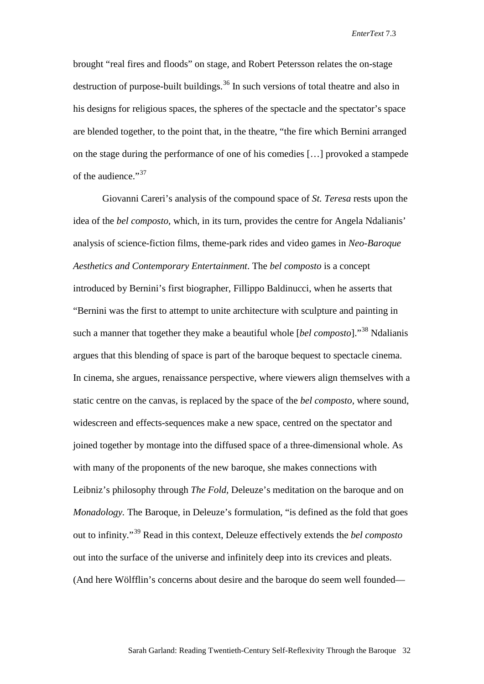brought "real fires and floods" on stage, and Robert Petersson relates the on-stage destruction of purpose-built buildings.<sup>[36](#page-26-29)</sup> In such versions of total theatre and also in his designs for religious spaces, the spheres of the spectacle and the spectator's space are blended together, to the point that, in the theatre, "the fire which Bernini arranged on the stage during the performance of one of his comedies […] provoked a stampede of the audience."<sup>[37](#page-26-30)</sup>

Giovanni Careri's analysis of the compound space of *St. Teresa* rests upon the idea of the *bel composto,* which, in its turn, provides the centre for Angela Ndalianis' analysis of science-fiction films, theme-park rides and video games in *Neo-Baroque Aesthetics and Contemporary Entertainment*. The *bel composto* is a concept introduced by Bernini's first biographer, Fillippo Baldinucci, when he asserts that "Bernini was the first to attempt to unite architecture with sculpture and painting in such a manner that together they make a beautiful whole [*bel composto*]."[38](#page-26-31) Ndalianis argues that this blending of space is part of the baroque bequest to spectacle cinema. In cinema, she argues, renaissance perspective, where viewers align themselves with a static centre on the canvas, is replaced by the space of the *bel composto,* where sound, widescreen and effects-sequences make a new space, centred on the spectator and joined together by montage into the diffused space of a three-dimensional whole. As with many of the proponents of the new baroque, she makes connections with Leibniz's philosophy through *The Fold,* Deleuze's meditation on the baroque and on *Monadology.* The Baroque, in Deleuze's formulation, "is defined as the fold that goes out to infinity."[39](#page-26-32) Read in this context, Deleuze effectively extends the *bel composto*  out into the surface of the universe and infinitely deep into its crevices and pleats. (And here Wölfflin's concerns about desire and the baroque do seem well founded—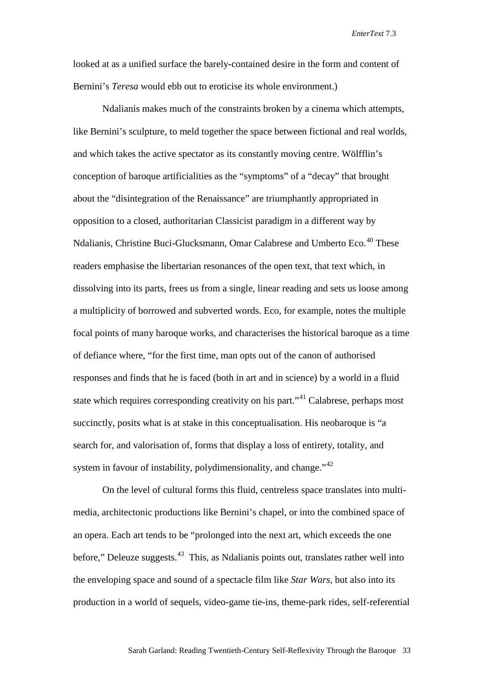looked at as a unified surface the barely-contained desire in the form and content of Bernini's *Teresa* would ebb out to eroticise its whole environment.)

Ndalianis makes much of the constraints broken by a cinema which attempts, like Bernini's sculpture, to meld together the space between fictional and real worlds, and which takes the active spectator as its constantly moving centre. Wölfflin's conception of baroque artificialities as the "symptoms" of a "decay" that brought about the "disintegration of the Renaissance" are triumphantly appropriated in opposition to a closed, authoritarian Classicist paradigm in a different way by Ndalianis, Christine Buci-Glucksmann, Omar Calabrese and Umberto Eco.<sup>[40](#page-26-33)</sup> These readers emphasise the libertarian resonances of the open text, that text which, in dissolving into its parts, frees us from a single, linear reading and sets us loose among a multiplicity of borrowed and subverted words. Eco, for example, notes the multiple focal points of many baroque works, and characterises the historical baroque as a time of defiance where, "for the first time, man opts out of the canon of authorised responses and finds that he is faced (both in art and in science) by a world in a fluid state which requires corresponding creativity on his part."<sup>[41](#page-26-34)</sup> Calabrese, perhaps most succinctly, posits what is at stake in this conceptualisation. His neobaroque is "a search for, and valorisation of, forms that display a loss of entirety, totality, and system in favour of instability, polydimensionality, and change."<sup>[42](#page-26-35)</sup>

On the level of cultural forms this fluid, centreless space translates into multimedia, architectonic productions like Bernini's chapel, or into the combined space of an opera. Each art tends to be "prolonged into the next art, which exceeds the one before," Deleuze suggests. $43$  This, as Ndalianis points out, translates rather well into the enveloping space and sound of a spectacle film like *Star Wars,* but also into its production in a world of sequels, video-game tie-ins, theme-park rides, self-referential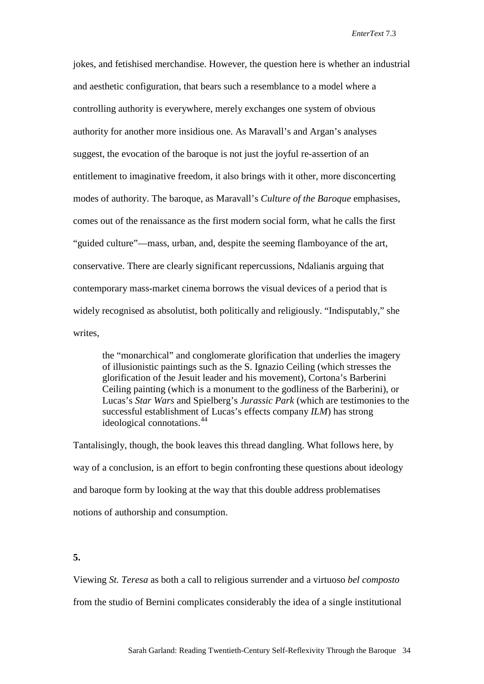jokes, and fetishised merchandise. However, the question here is whether an industrial and aesthetic configuration, that bears such a resemblance to a model where a controlling authority is everywhere, merely exchanges one system of obvious authority for another more insidious one. As Maravall's and Argan's analyses suggest, the evocation of the baroque is not just the joyful re-assertion of an entitlement to imaginative freedom, it also brings with it other, more disconcerting modes of authority. The baroque, as Maravall's *Culture of the Baroque* emphasises, comes out of the renaissance as the first modern social form, what he calls the first "guided culture"—mass, urban, and, despite the seeming flamboyance of the art, conservative. There are clearly significant repercussions, Ndalianis arguing that contemporary mass-market cinema borrows the visual devices of a period that is widely recognised as absolutist, both politically and religiously. "Indisputably," she writes,

the "monarchical" and conglomerate glorification that underlies the imagery of illusionistic paintings such as the S. Ignazio Ceiling (which stresses the glorification of the Jesuit leader and his movement), Cortona's Barberini Ceiling painting (which is a monument to the godliness of the Barberini), or Lucas's *Star Wars* and Spielberg's *Jurassic Park* (which are testimonies to the successful establishment of Lucas's effects company *ILM*) has strong ideological connotations.<sup>[44](#page-26-37)</sup>

Tantalisingly, though, the book leaves this thread dangling. What follows here, by way of a conclusion, is an effort to begin confronting these questions about ideology and baroque form by looking at the way that this double address problematises notions of authorship and consumption.

**5.**

Viewing *St. Teresa* as both a call to religious surrender and a virtuoso *bel composto*  from the studio of Bernini complicates considerably the idea of a single institutional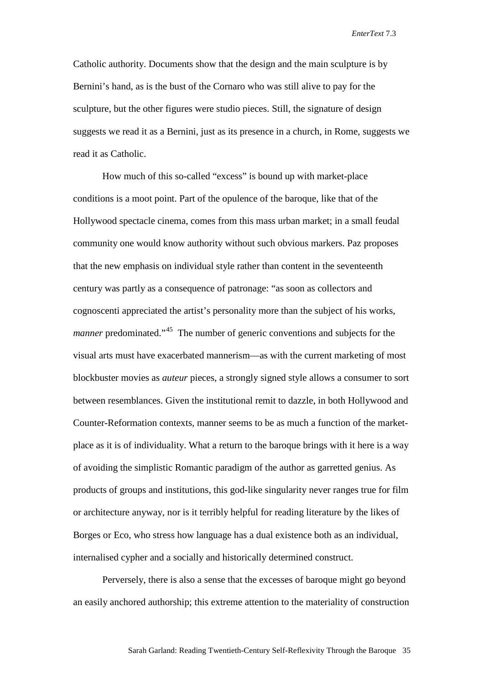Catholic authority. Documents show that the design and the main sculpture is by Bernini's hand, as is the bust of the Cornaro who was still alive to pay for the sculpture, but the other figures were studio pieces. Still, the signature of design suggests we read it as a Bernini, just as its presence in a church, in Rome, suggests we read it as Catholic.

How much of this so-called "excess" is bound up with market-place conditions is a moot point. Part of the opulence of the baroque, like that of the Hollywood spectacle cinema, comes from this mass urban market; in a small feudal community one would know authority without such obvious markers. Paz proposes that the new emphasis on individual style rather than content in the seventeenth century was partly as a consequence of patronage: "as soon as collectors and cognoscenti appreciated the artist's personality more than the subject of his works, *manner* predominated."<sup>45</sup> The number of generic conventions and subjects for the visual arts must have exacerbated mannerism—as with the current marketing of most blockbuster movies as *auteur* pieces, a strongly signed style allows a consumer to sort between resemblances. Given the institutional remit to dazzle, in both Hollywood and Counter-Reformation contexts, manner seems to be as much a function of the marketplace as it is of individuality. What a return to the baroque brings with it here is a way of avoiding the simplistic Romantic paradigm of the author as garretted genius. As products of groups and institutions, this god-like singularity never ranges true for film or architecture anyway, nor is it terribly helpful for reading literature by the likes of Borges or Eco, who stress how language has a dual existence both as an individual, internalised cypher and a socially and historically determined construct.

Perversely, there is also a sense that the excesses of baroque might go beyond an easily anchored authorship; this extreme attention to the materiality of construction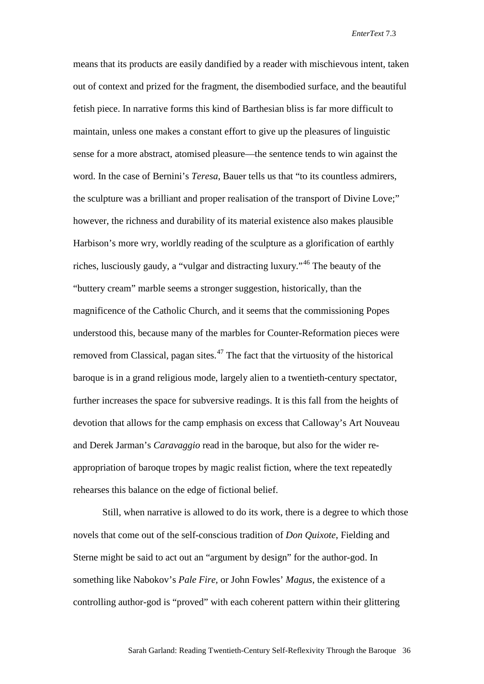means that its products are easily dandified by a reader with mischievous intent, taken out of context and prized for the fragment, the disembodied surface, and the beautiful fetish piece. In narrative forms this kind of Barthesian bliss is far more difficult to maintain, unless one makes a constant effort to give up the pleasures of linguistic sense for a more abstract, atomised pleasure—the sentence tends to win against the word. In the case of Bernini's *Teresa*, Bauer tells us that "to its countless admirers, the sculpture was a brilliant and proper realisation of the transport of Divine Love;" however, the richness and durability of its material existence also makes plausible Harbison's more wry, worldly reading of the sculpture as a glorification of earthly riches, lusciously gaudy, a "vulgar and distracting luxury."[46](#page-26-39) The beauty of the "buttery cream" marble seems a stronger suggestion, historically, than the magnificence of the Catholic Church, and it seems that the commissioning Popes understood this, because many of the marbles for Counter-Reformation pieces were removed from Classical, pagan sites. $47$  The fact that the virtuosity of the historical baroque is in a grand religious mode, largely alien to a twentieth-century spectator, further increases the space for subversive readings. It is this fall from the heights of devotion that allows for the camp emphasis on excess that Calloway's Art Nouveau and Derek Jarman's *Caravaggio* read in the baroque, but also for the wider reappropriation of baroque tropes by magic realist fiction, where the text repeatedly rehearses this balance on the edge of fictional belief.

Still, when narrative is allowed to do its work, there is a degree to which those novels that come out of the self-conscious tradition of *Don Quixote*, Fielding and Sterne might be said to act out an "argument by design" for the author-god. In something like Nabokov's *Pale Fire,* or John Fowles' *Magus*, the existence of a controlling author-god is "proved" with each coherent pattern within their glittering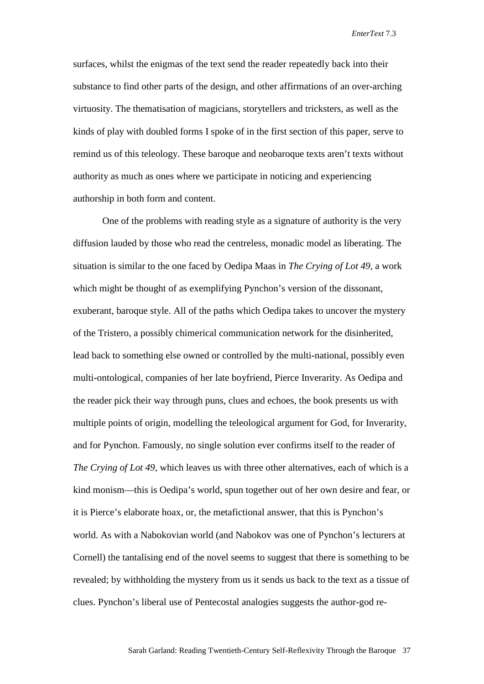surfaces, whilst the enigmas of the text send the reader repeatedly back into their substance to find other parts of the design, and other affirmations of an over-arching virtuosity. The thematisation of magicians, storytellers and tricksters, as well as the kinds of play with doubled forms I spoke of in the first section of this paper, serve to remind us of this teleology. These baroque and neobaroque texts aren't texts without authority as much as ones where we participate in noticing and experiencing authorship in both form and content.

One of the problems with reading style as a signature of authority is the very diffusion lauded by those who read the centreless, monadic model as liberating. The situation is similar to the one faced by Oedipa Maas in *The Crying of Lot 49,* a work which might be thought of as exemplifying Pynchon's version of the dissonant, exuberant, baroque style. All of the paths which Oedipa takes to uncover the mystery of the Tristero, a possibly chimerical communication network for the disinherited, lead back to something else owned or controlled by the multi-national, possibly even multi-ontological, companies of her late boyfriend, Pierce Inverarity. As Oedipa and the reader pick their way through puns, clues and echoes, the book presents us with multiple points of origin, modelling the teleological argument for God, for Inverarity, and for Pynchon. Famously, no single solution ever confirms itself to the reader of *The Crying of Lot 49,* which leaves us with three other alternatives, each of which is a kind monism—this is Oedipa's world, spun together out of her own desire and fear, or it is Pierce's elaborate hoax, or, the metafictional answer, that this is Pynchon's world. As with a Nabokovian world (and Nabokov was one of Pynchon's lecturers at Cornell) the tantalising end of the novel seems to suggest that there is something to be revealed; by withholding the mystery from us it sends us back to the text as a tissue of clues. Pynchon's liberal use of Pentecostal analogies suggests the author-god re-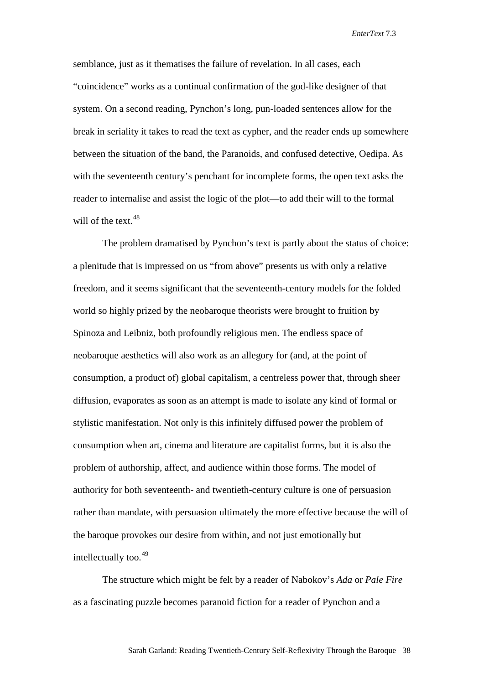semblance, just as it thematises the failure of revelation. In all cases, each "coincidence" works as a continual confirmation of the god-like designer of that system. On a second reading, Pynchon's long, pun-loaded sentences allow for the break in seriality it takes to read the text as cypher, and the reader ends up somewhere between the situation of the band, the Paranoids, and confused detective, Oedipa. As with the seventeenth century's penchant for incomplete forms, the open text asks the reader to internalise and assist the logic of the plot—to add their will to the formal will of the text.  $48$ 

The problem dramatised by Pynchon's text is partly about the status of choice: a plenitude that is impressed on us "from above" presents us with only a relative freedom, and it seems significant that the seventeenth-century models for the folded world so highly prized by the neobaroque theorists were brought to fruition by Spinoza and Leibniz, both profoundly religious men. The endless space of neobaroque aesthetics will also work as an allegory for (and, at the point of consumption, a product of) global capitalism, a centreless power that, through sheer diffusion, evaporates as soon as an attempt is made to isolate any kind of formal or stylistic manifestation. Not only is this infinitely diffused power the problem of consumption when art, cinema and literature are capitalist forms, but it is also the problem of authorship, affect, and audience within those forms. The model of authority for both seventeenth- and twentieth-century culture is one of persuasion rather than mandate, with persuasion ultimately the more effective because the will of the baroque provokes our desire from within, and not just emotionally but intellectually too.[49](#page-26-42)

The structure which might be felt by a reader of Nabokov's *Ada* or *Pale Fire*  as a fascinating puzzle becomes paranoid fiction for a reader of Pynchon and a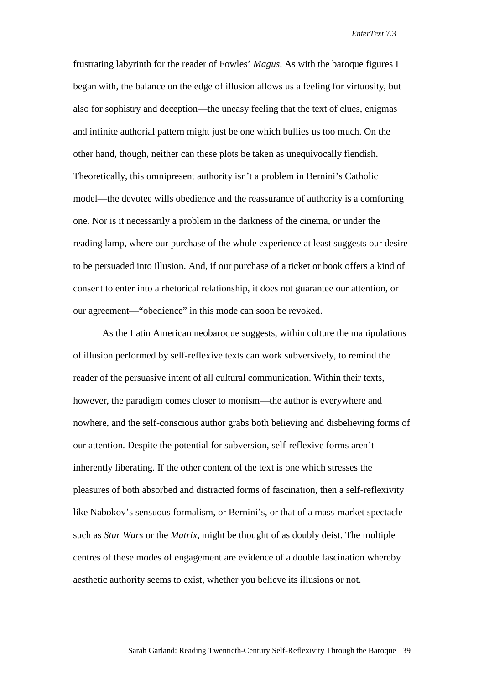frustrating labyrinth for the reader of Fowles' *Magus*. As with the baroque figures I began with, the balance on the edge of illusion allows us a feeling for virtuosity, but also for sophistry and deception—the uneasy feeling that the text of clues, enigmas and infinite authorial pattern might just be one which bullies us too much. On the other hand, though, neither can these plots be taken as unequivocally fiendish. Theoretically, this omnipresent authority isn't a problem in Bernini's Catholic model—the devotee wills obedience and the reassurance of authority is a comforting one. Nor is it necessarily a problem in the darkness of the cinema, or under the reading lamp, where our purchase of the whole experience at least suggests our desire to be persuaded into illusion. And, if our purchase of a ticket or book offers a kind of consent to enter into a rhetorical relationship, it does not guarantee our attention, or our agreement—"obedience" in this mode can soon be revoked.

As the Latin American neobaroque suggests, within culture the manipulations of illusion performed by self-reflexive texts can work subversively, to remind the reader of the persuasive intent of all cultural communication. Within their texts, however, the paradigm comes closer to monism—the author is everywhere and nowhere, and the self-conscious author grabs both believing and disbelieving forms of our attention. Despite the potential for subversion, self-reflexive forms aren't inherently liberating. If the other content of the text is one which stresses the pleasures of both absorbed and distracted forms of fascination, then a self-reflexivity like Nabokov's sensuous formalism, or Bernini's, or that of a mass-market spectacle such as *Star Wars* or the *Matrix*, might be thought of as doubly deist. The multiple centres of these modes of engagement are evidence of a double fascination whereby aesthetic authority seems to exist, whether you believe its illusions or not.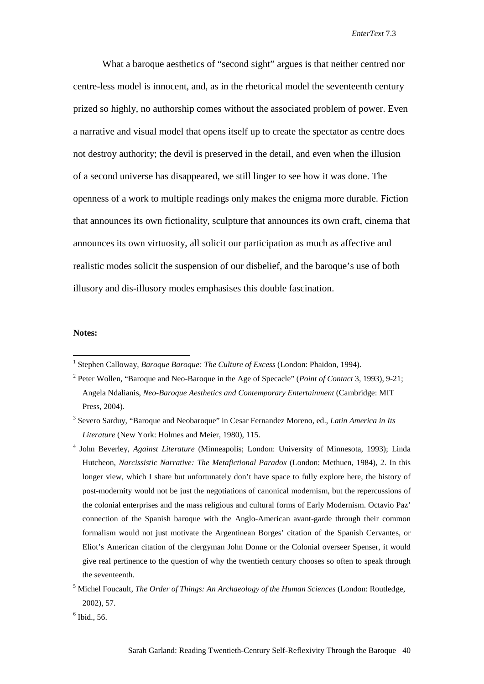What a baroque aesthetics of "second sight" argues is that neither centred nor centre-less model is innocent, and, as in the rhetorical model the seventeenth century prized so highly, no authorship comes without the associated problem of power. Even a narrative and visual model that opens itself up to create the spectator as centre does not destroy authority; the devil is preserved in the detail, and even when the illusion of a second universe has disappeared, we still linger to see how it was done. The openness of a work to multiple readings only makes the enigma more durable. Fiction that announces its own fictionality, sculpture that announces its own craft, cinema that announces its own virtuosity, all solicit our participation as much as affective and realistic modes solicit the suspension of our disbelief, and the baroque's use of both illusory and dis-illusory modes emphasises this double fascination.

#### **Notes:**

-

<span id="page-24-0"></span><sup>1</sup> Stephen Calloway, *Baroque Baroque: The Culture of Excess* (London: Phaidon, 1994).

<span id="page-24-1"></span><sup>2</sup> Peter Wollen, "Baroque and Neo-Baroque in the Age of Specacle" (*Point of Contact* 3, 1993), 9-21; Angela Ndalianis, *Neo-Baroque Aesthetics and Contemporary Entertainment* (Cambridge: MIT Press, 2004).

<sup>3</sup> Severo Sarduy, "Baroque and Neobaroque" in Cesar Fernandez Moreno, ed., *Latin America in Its Literature* (New York: Holmes and Meier, 1980), 115.

<sup>4</sup> John Beverley, *Against Literature* (Minneapolis; London: University of Minnesota, 1993); Linda Hutcheon, *Narcissistic Narrative: The Metafictional Paradox* (London: Methuen, 1984), 2. In this longer view, which I share but unfortunately don't have space to fully explore here, the history of post-modernity would not be just the negotiations of canonical modernism, but the repercussions of the colonial enterprises and the mass religious and cultural forms of Early Modernism. Octavio Paz' connection of the Spanish baroque with the Anglo-American avant-garde through their common formalism would not just motivate the Argentinean Borges' citation of the Spanish Cervantes, or Eliot's American citation of the clergyman John Donne or the Colonial overseer Spenser, it would give real pertinence to the question of why the twentieth century chooses so often to speak through the seventeenth.

<sup>5</sup> Michel Foucault, *The Order of Things: An Archaeology of the Human Sciences* (London: Routledge, 2002), 57.

 $6$  Ibid., 56.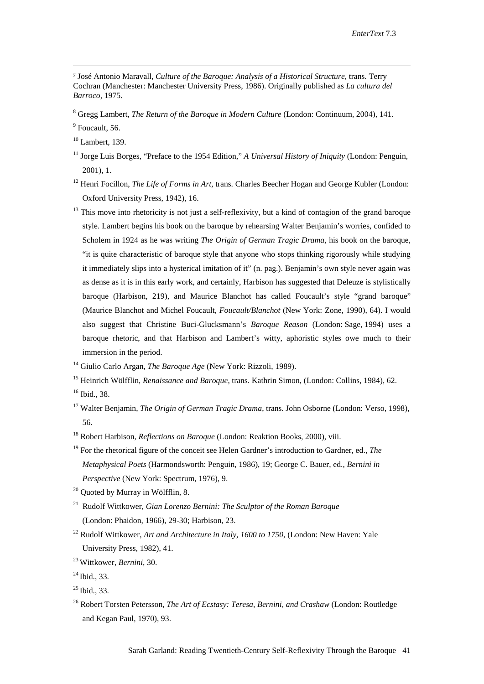<sup>7</sup> José Antonio Maravall, *Culture of the Baroque: Analysis of a Historical Structure*, trans. Terry Cochran (Manchester: Manchester University Press, 1986). Originally published as *La cultura del Barroco,* 1975.

<sup>8</sup> Gregg Lambert, *The Return of the Baroque in Modern Culture* (London: Continuum, 2004), 141.

<sup>9</sup> Foucault, 56.

-

 $10$  Lambert, 139.

- <sup>11</sup> Jorge Luis Borges, "Preface to the 1954 Edition," *A Universal History of Iniquity* (London: Penguin, 2001), 1.
- <sup>12</sup> Henri Focillon, *The Life of Forms in Art*, trans. Charles Beecher Hogan and George Kubler (London: Oxford University Press, 1942), 16.
- $13$  This move into rhetoricity is not just a self-reflexivity, but a kind of contagion of the grand baroque style. Lambert begins his book on the baroque by rehearsing Walter Benjamin's worries, confided to Scholem in 1924 as he was writing *The Origin of German Tragic Drama,* his book on the baroque, "it is quite characteristic of baroque style that anyone who stops thinking rigorously while studying it immediately slips into a hysterical imitation of it" (n. pag.). Benjamin's own style never again was as dense as it is in this early work, and certainly, Harbison has suggested that Deleuze is stylistically baroque (Harbison, 219), and Maurice Blanchot has called Foucault's style "grand baroque" (Maurice Blanchot and Michel Foucault, *Foucault/Blanchot* (New York: Zone, 1990), 64). I would also suggest that Christine Buci-Glucksmann's *Baroque Reason* (London: Sage, 1994) uses a baroque rhetoric, and that Harbison and Lambert's witty, aphoristic styles owe much to their immersion in the period.
- <sup>14</sup> Giulio Carlo Argan, *The Baroque Age* (New York: Rizzoli, 1989).
- <sup>15</sup> Heinrich Wölfflin, *Renaissance and Baroque*, trans. Kathrin Simon, (London: Collins, 1984), 62.
- <sup>16</sup> Ibid., 38.
- <span id="page-25-0"></span><sup>17</sup> Walter Benjamin, *The Origin of German Tragic Drama*, trans. John Osborne (London: Verso, 1998), 56.
- <sup>18</sup> Robert Harbison, *Reflections on Baroque* (London: Reaktion Books, 2000), viii.
- <span id="page-25-1"></span><sup>19</sup> For the rhetorical figure of the conceit see Helen Gardner's introduction to Gardner, ed., *The Metaphysical Poets* (Harmondsworth: Penguin, 1986), 19; George C. Bauer, ed., *Bernini in Perspective* (New York: Spectrum, 1976), 9.

- <sup>21</sup> Rudolf Wittkower, *Gian Lorenzo Bernini: The Sculptor of the Roman Baroque* (London: Phaidon, 1966), 29-30; Harbison, 23.
- <sup>22</sup> Rudolf Wittkower, *Art and Architecture in Italy, 1600 to 1750,* (London: New Haven: Yale University Press, 1982), 41.
- <sup>23</sup> Wittkower, *Bernini*, 30.

<sup>26</sup> Robert Torsten Petersson, *The Art of Ecstasy: Teresa, Bernini, and Crashaw* (London: Routledge and Kegan Paul, 1970), 93.

 $20$  Quoted by Murray in Wölfflin, 8.

 $^{24}$  Ibid., 33.

<span id="page-25-2"></span> $25$  Ibid., 33.